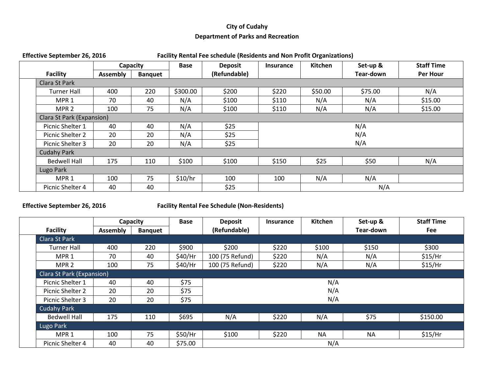## **City of Cudahy Department of Parks and Recreation**

| <b>Effective September 26, 2016</b> |                           |                 | <b>Facility Rental Fee schedule (Residents and Non Profit Organizations)</b> |             |                |                  |         |           |                   |  |
|-------------------------------------|---------------------------|-----------------|------------------------------------------------------------------------------|-------------|----------------|------------------|---------|-----------|-------------------|--|
|                                     |                           | Capacity        |                                                                              | <b>Base</b> | <b>Deposit</b> | <b>Insurance</b> | Kitchen | Set-up &  | <b>Staff Time</b> |  |
|                                     | <b>Facility</b>           | <b>Assembly</b> | <b>Banquet</b>                                                               |             | (Refundable)   |                  |         | Tear-down | Per Hour          |  |
|                                     | Clara St Park             |                 |                                                                              |             |                |                  |         |           |                   |  |
|                                     | <b>Turner Hall</b>        | 400             | 220                                                                          | \$300.00    | \$200          | \$220            | \$50.00 | \$75.00   | N/A               |  |
|                                     | MPR <sub>1</sub>          | 70              | 40                                                                           | N/A         | \$100          | \$110            | N/A     | N/A       | \$15.00           |  |
|                                     | MPR <sub>2</sub>          | 100             | 75                                                                           | N/A         | \$100          | \$110            | N/A     | N/A       | \$15.00           |  |
|                                     | Clara St Park (Expansion) |                 |                                                                              |             |                |                  |         |           |                   |  |
|                                     | Picnic Shelter 1          | 40              | 40                                                                           | N/A         | \$25           | N/A              |         |           |                   |  |
| 20<br>Picnic Shelter 2              |                           |                 | 20                                                                           | N/A         | \$25           | N/A              |         |           |                   |  |
| 20<br>20<br>Picnic Shelter 3        |                           |                 |                                                                              | N/A         | \$25           | N/A              |         |           |                   |  |
|                                     | <b>Cudahy Park</b>        |                 |                                                                              |             |                |                  |         |           |                   |  |
|                                     | <b>Bedwell Hall</b>       | 175             | 110                                                                          | \$100       | \$100          | \$150            | \$25    | \$50      | N/A               |  |
| Lugo Park                           |                           |                 |                                                                              |             |                |                  |         |           |                   |  |
|                                     | MPR <sub>1</sub>          | 100             | 75                                                                           | \$10/hr     | 100            | 100              | N/A     | N/A       |                   |  |
| 40<br>40<br>Picnic Shelter 4        |                           |                 |                                                                              |             | \$25           |                  | N/A     |           |                   |  |

**Effective September 26, 2016 Facility Rental Fee Schedule (Non-Residents)** 

|                     | Capacity                         |                | <b>Base</b>                | <b>Deposit</b>  | <b>Insurance</b> | <b>Kitchen</b> | Set-up &  | <b>Staff Time</b> |  |
|---------------------|----------------------------------|----------------|----------------------------|-----------------|------------------|----------------|-----------|-------------------|--|
| <b>Facility</b>     | <b>Assembly</b>                  | <b>Banquet</b> |                            | (Refundable)    |                  |                | Tear-down | Fee               |  |
| Clara St Park       |                                  |                |                            |                 |                  |                |           |                   |  |
| <b>Turner Hall</b>  | 400                              | 220            | \$900                      | \$200           | \$220            | \$100          | \$150     | \$300             |  |
| MPR <sub>1</sub>    | 70                               | 40             | \$40/Hr                    | 100 (75 Refund) | \$220            | N/A            | N/A       | $$15/$ Hr         |  |
| MPR <sub>2</sub>    | 100                              | 75             | \$40/Hr                    | 100 (75 Refund) | \$220            | N/A            | N/A       | $$15/$ Hr         |  |
|                     | <b>Clara St Park (Expansion)</b> |                |                            |                 |                  |                |           |                   |  |
| Picnic Shelter 1    | 40                               | 40             | \$75<br>N/A<br>N/A<br>\$75 |                 |                  |                |           |                   |  |
| Picnic Shelter 2    | 20                               | 20             |                            |                 |                  |                |           |                   |  |
| Picnic Shelter 3    | 20                               | 20             | \$75                       |                 |                  |                |           |                   |  |
| <b>Cudahy Park</b>  |                                  |                |                            |                 |                  |                |           |                   |  |
| <b>Bedwell Hall</b> | 175                              | 110            | \$695                      | N/A             | \$220            | N/A            | \$75      | \$150.00          |  |
| Lugo Park           |                                  |                |                            |                 |                  |                |           |                   |  |
| MPR <sub>1</sub>    | 100                              | 75             | \$50/Hr                    | \$100           | \$220            | <b>NA</b>      | <b>NA</b> | $$15/$ Hr         |  |
| Picnic Shelter 4    | 40                               | 40             | \$75.00                    |                 |                  | N/A            |           |                   |  |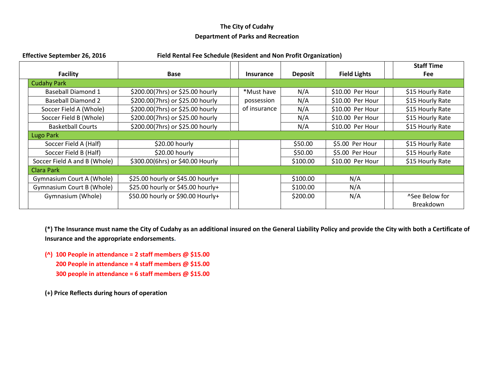## **The City of Cudahy Department of Parks and Recreation**

| <b>Effective September 26, 2016</b> | Field Rental Fee Schedule (Resident and Non Profit Organization) |                  |                |                     |                                 |  |  |  |  |  |
|-------------------------------------|------------------------------------------------------------------|------------------|----------------|---------------------|---------------------------------|--|--|--|--|--|
| <b>Facility</b>                     | <b>Base</b>                                                      | <b>Insurance</b> | <b>Deposit</b> | <b>Field Lights</b> | <b>Staff Time</b><br><b>Fee</b> |  |  |  |  |  |
| <b>Cudahy Park</b>                  |                                                                  |                  |                |                     |                                 |  |  |  |  |  |
| Baseball Diamond 1                  | \$200.00(7hrs) or \$25.00 hourly                                 | *Must have       | N/A            | \$10.00 Per Hour    | \$15 Hourly Rate                |  |  |  |  |  |
| <b>Baseball Diamond 2</b>           | \$200.00(7hrs) or \$25.00 hourly                                 | possession       | N/A            | \$10.00 Per Hour    | \$15 Hourly Rate                |  |  |  |  |  |
| Soccer Field A (Whole)              | \$200.00(7hrs) or \$25.00 hourly                                 | of insurance     | N/A            | \$10.00 Per Hour    | \$15 Hourly Rate                |  |  |  |  |  |
| Soccer Field B (Whole)              | \$200.00(7hrs) or \$25.00 hourly                                 |                  | N/A            | \$10.00 Per Hour    | \$15 Hourly Rate                |  |  |  |  |  |
| <b>Basketball Courts</b>            | \$200.00(7hrs) or \$25.00 hourly                                 |                  | N/A            | \$10.00 Per Hour    | \$15 Hourly Rate                |  |  |  |  |  |
| Lugo Park                           |                                                                  |                  |                |                     |                                 |  |  |  |  |  |
| Soccer Field A (Half)               | \$20.00 hourly                                                   |                  | \$50.00        | \$5.00 Per Hour     | \$15 Hourly Rate                |  |  |  |  |  |
| Soccer Field B (Half)               | \$20.00 hourly                                                   |                  | \$50.00        | \$5.00 Per Hour     | \$15 Hourly Rate                |  |  |  |  |  |
| Soccer Field A and B (Whole)        | \$300.00(6hrs) or \$40.00 Hourly                                 |                  | \$100.00       | \$10.00 Per Hour    | \$15 Hourly Rate                |  |  |  |  |  |
| <b>Clara Park</b>                   |                                                                  |                  |                |                     |                                 |  |  |  |  |  |
| Gymnasium Court A (Whole)           | \$25.00 hourly or \$45.00 hourly+                                |                  | \$100.00       | N/A                 |                                 |  |  |  |  |  |
| <b>Gymnasium Court B (Whole)</b>    | \$25.00 hourly or \$45.00 hourly+                                |                  | \$100.00       | N/A                 |                                 |  |  |  |  |  |
| Gymnasium (Whole)                   | \$50.00 hourly or \$90.00 Hourly+                                |                  | \$200.00       | N/A                 | <sup>^</sup> See Below for      |  |  |  |  |  |
|                                     |                                                                  |                  |                |                     | <b>Breakdown</b>                |  |  |  |  |  |

**(\*) The Insurance must name the City of Cudahy as an additional insured on the General Liability Policy and provide the City with both a Certificate of Insurance and the appropriate endorsements.**

**(^) 100 People in attendance = 2 staff members @ \$15.00 200 People in attendance = 4 staff members @ \$15.00 300 people in attendance = 6 staff members @ \$15.00**

**(+) Price Reflects during hours of operation**